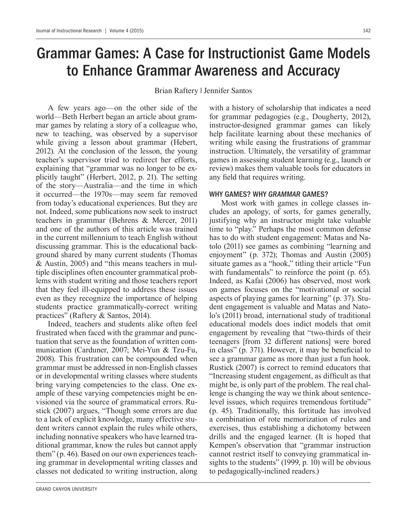# Grammar Games: A Case for Instructionist Game Models to Enhance Grammar Awareness and Accuracy

Brian Raftery | Jennifer Santos

A few years ago—on the other side of the world—Beth Herbert began an article about grammar games by relating a story of a colleague who, new to teaching, was observed by a supervisor while giving a lesson about grammar (Hebert, 2012). At the conclusion of the lesson, the young teacher's supervisor tried to redirect her efforts, explaining that "grammar was no longer to be explicitly taught" (Herbert, 2012, p. 21). The setting of the story—Australia—and the time in which it occurred—the 1970s—may seem far removed from today's educational experiences. But they are not. Indeed, some publications now seek to instruct teachers in grammar (Behrens & Mercer, 2011) and one of the authors of this article was trained in the current millennium to teach English without discussing grammar. This is the educational background shared by many current students (Thomas & Austin, 2005) and "this means teachers in multiple disciplines often encounter grammatical problems with student writing and those teachers report that they feel ill-equipped to address these issues even as they recognize the importance of helping students practice grammatically-correct writing practices" (Raftery & Santos, 2014).

Indeed, teachers and students alike often feel frustrated when faced with the grammar and punctuation that serve as the foundation of written communication (Carduner, 2007; Mei-Yun & Tzu-Fu, 2008). This frustration can be compounded when grammar must be addressed in non-English classes or in developmental writing classes where students bring varying competencies to the class. One example of these varying competencies might be envisioned via the source of grammatical errors. Rustick (2007) argues, "Though some errors are due to a lack of explicit knowledge, many effective student writers cannot explain the rules while others, including nonnative speakers who have learned traditional grammar, know the rules but cannot apply them" (p. 46). Based on our own experiences teaching grammar in developmental writing classes and classes not dedicated to writing instruction, along with a history of scholarship that indicates a need for grammar pedagogies (e.g., Dougherty, 2012), instructor-designed grammar games can likely help facilitate learning about these mechanics of writing while easing the frustrations of grammar instruction. Ultimately, the versatility of grammar games in assessing student learning (e.g., launch or review) makes them valuable tools for educators in any field that requires writing.

#### WHY GAMES? WHY GRAMMAR GAMES?

Most work with games in college classes includes an apology, of sorts, for games generally, justifying why an instructor might take valuable time to "play." Perhaps the most common defense has to do with student engagement: Matas and Natolo (2011) see games as combining "learning and enjoyment" (p. 372); Thomas and Austin  $(2005)$ situate games as a "hook," titling their article "Fun with fundamentals" to reinforce the point (p. 65). Indeed, as Kafai (2006) has observed, most work on games focuses on the "motivational or social aspects of playing games for learning" (p. 37). Student engagement is valuable and Matas and Natolo's (2011) broad, international study of traditional educational models does indict models that omit engagement by revealing that "two-thirds of their teenagers [from 32 different nations] were bored in class" (p. 371). However, it may be beneficial to see a grammar game as more than just a fun hook. Rustick (2007) is correct to remind educators that "Increasing student engagement, as difficult as that might be, is only part of the problem. The real challenge is changing the way we think about sentencelevel issues, which requires tremendous fortitude" (p. 45). Traditionally, this fortitude has involved a combination of rote memorization of rules and exercises, thus establishing a dichotomy between drills and the engaged learner. (It is hoped that Kempen's observation that "grammar instruction cannot restrict itself to conveying grammatical insights to the students" (1999, p. 10) will be obvious to pedagogically-inclined readers.)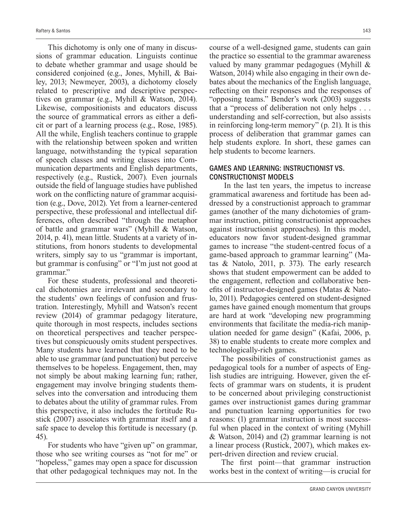This dichotomy is only one of many in discussions of grammar education. Linguists continue to debate whether grammar and usage should be considered conjoined (e.g., Jones, Myhill,  $\&$  Bailey, 2013; Newmeyer, 2003), a dichotomy closely related to prescriptive and descriptive perspectives on grammar (e.g., Myhill & Watson, 2014). Likewise, compositionists and educators discuss the source of grammatical errors as either a deficit or part of a learning process (e.g., Rose, 1985). All the while, English teachers continue to grapple with the relationship between spoken and written language, notwithstanding the typical separation of speech classes and writing classes into Communication departments and English departments, respectively (e.g., Rustick, 2007). Even journals outside the field of language studies have published work on the conflicting nature of grammar acquisition (e.g., Dove, 2012). Yet from a learner-centered perspective, these professional and intellectual differences, often described "through the metaphor of battle and grammar wars" (Myhill & Watson, 2014, p. 41), mean little. Students at a variety of institutions, from honors students to developmental writers, simply say to us "grammar is important, but grammar is confusing" or "I'm just not good at grammar."

For these students, professional and theoretical dichotomies are irrelevant and secondary to the students' own feelings of confusion and frustration. Interestingly, Myhill and Watson's recent review (2014) of grammar pedagogy literature, quite thorough in most respects, includes sections on theoretical perspectives and teacher perspectives but conspicuously omits student perspectives. Many students have learned that they need to be able to use grammar (and punctuation) but perceive themselves to be hopeless. Engagement, then, may not simply be about making learning fun; rather, engagement may involve bringing students themselves into the conversation and introducing them to debates about the utility of grammar rules. From this perspective, it also includes the fortitude Rustick (2007) associates with grammar itself and a safe space to develop this fortitude is necessary (p. 45).

For students who have "given up" on grammar, those who see writing courses as "not for me" or "hopeless," games may open a space for discussion that other pedagogical techniques may not. In the course of a well-designed game, students can gain the practice so essential to the grammar awareness valued by many grammar pedagogues (Myhill & Watson, 2014) while also engaging in their own debates about the mechanics of the English language, reflecting on their responses and the responses of "opposing teams." Bender's work (2003) suggests that a "process of deliberation not only helps . . . understanding and self-correction, but also assists in reinforcing long-term memory" (p. 21). It is this process of deliberation that grammar games can help students explore. In short, these games can help students to become learners.

### GAMES AND LEARNING: INSTRUCTIONIST VS. CONSTRUCTIONIST MODELS

 In the last ten years, the impetus to increase grammatical awareness and fortitude has been addressed by a constructionist approach to grammar games (another of the many dichotomies of grammar instruction, pitting constructionist approaches against instructionist approaches). In this model, educators now favor student-designed grammar games to increase "the student-centred focus of a game-based approach to grammar learning" (Matas & Natolo, 2011, p. 373). The early research shows that student empowerment can be added to the engagement, reflection and collaborative benefits of instructor-designed games (Matas  $\&$  Natolo, 2011). Pedagogies centered on student-designed games have gained enough momentum that groups are hard at work "developing new programming environments that facilitate the media-rich manipulation needed for game design" (Kafai, 2006, p. 38) to enable students to create more complex and technologically-rich games.

The possibilities of constructionist games as pedagogical tools for a number of aspects of English studies are intriguing. However, given the effects of grammar wars on students, it is prudent to be concerned about privileging constructionist games over instructionist games during grammar and punctuation learning opportunities for two reasons: (1) grammar instruction is most successful when placed in the context of writing (Myhill & Watson, 2014) and (2) grammar learning is not a linear process (Rustick, 2007), which makes expert-driven direction and review crucial.

The first point—that grammar instruction works best in the context of writing—is crucial for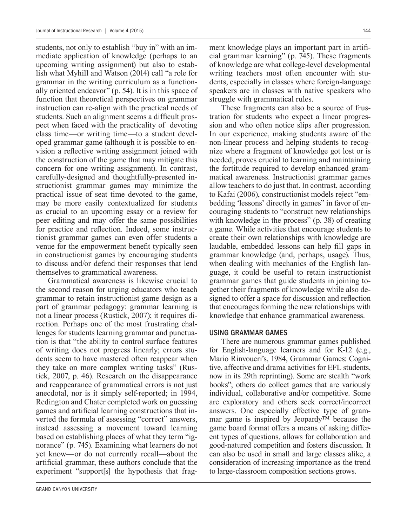students, not only to establish "buy in" with an immediate application of knowledge (perhaps to an upcoming writing assignment) but also to establish what Myhill and Watson (2014) call "a role for grammar in the writing curriculum as a functionally oriented endeavor" (p. 54). It is in this space of function that theoretical perspectives on grammar instruction can re-align with the practical needs of students. Such an alignment seems a difficult prospect when faced with the practicality of devoting class time—or writing time—to a student developed grammar game (although it is possible to envision a reflective writing assignment joined with the construction of the game that may mitigate this concern for one writing assignment). In contrast, carefully-designed and thoughtfully-presented instructionist grammar games may minimize the practical issue of seat time devoted to the game, may be more easily contextualized for students as crucial to an upcoming essay or a review for peer editing and may offer the same possibilities for practice and reflection. Indeed, some instructionist grammar games can even offer students a The venue for the empowerment benefit typically seen in constructionist games by encouraging students to discuss and/or defend their responses that lend themselves to grammatical awareness.

Grammatical awareness is likewise crucial to the second reason for urging educators who teach grammar to retain instructionist game design as a part of grammar pedagogy: grammar learning is not a linear process (Rustick, 2007); it requires direction. Perhaps one of the most frustrating challenges for students learning grammar and punctuation is that "the ability to control surface features of writing does not progress linearly; errors students seem to have mastered often reappear when they take on more complex writing tasks" (Rustick, 2007, p. 46). Research on the disappearance and reappearance of grammatical errors is not just anecdotal, nor is it simply self-reported; in 1994, Redington and Chater completed work on guessing games and artificial learning constructions that inverted the formula of assessing "correct" answers, instead assessing a movement toward learning based on establishing places of what they term "ignorance" (p. 745). Examining what learners do not yet know—or do not currently recall—about the artificial grammar, these authors conclude that the experiment "support[s] the hypothesis that fragment knowledge plays an important part in artificial grammar learning" (p. 745). These fragments of knowledge are what college-level developmental writing teachers most often encounter with students, especially in classes where foreign-language speakers are in classes with native speakers who struggle with grammatical rules.

These fragments can also be a source of frustration for students who expect a linear progression and who often notice slips after progression. In our experience, making students aware of the non-linear process and helping students to recognize where a fragment of knowledge got lost or is needed, proves crucial to learning and maintaining the fortitude required to develop enhanced grammatical awareness. Instructionist grammar games allow teachers to do just that. In contrast, according to Kafai (2006), constructionist models reject "embedding 'lessons' directly in games" in favor of encouraging students to "construct new relationships with knowledge in the process" (p. 38) of creating a game. While activities that encourage students to create their own relationships with knowledge are laudable, embedded lessons can help fill gaps in grammar knowledge (and, perhaps, usage). Thus, when dealing with mechanics of the English language, it could be useful to retain instructionist grammar games that guide students in joining together their fragments of knowledge while also designed to offer a space for discussion and reflection that encourages forming the new relationships with knowledge that enhance grammatical awareness.

#### USING GRAMMAR GAMES

There are numerous grammar games published for English-language learners and for K-12 (e.g., Mario Rinvoucri's, 1984, Grammar Games: Cognitive, affective and drama activities for EFL students, now in its 29th reprinting). Some are stealth "work books"; others do collect games that are variously individual, collaborative and/or competitive. Some are exploratory and others seek correct/incorrect answers. One especially effective type of grammar game is inspired by Jeopardy™ because the game board format offers a means of asking different types of questions, allows for collaboration and good-natured competition and fosters discussion. It can also be used in small and large classes alike, a consideration of increasing importance as the trend to large-classroom composition sections grows.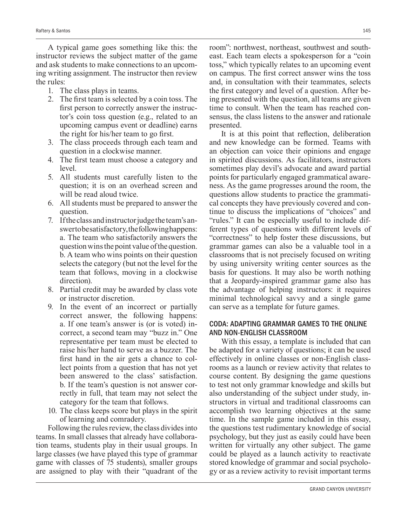A typical game goes something like this: the instructor reviews the subject matter of the game and ask students to make connections to an upcoming writing assignment. The instructor then review the rules:

- 1. The class plays in teams.
- 2. The first team is selected by a coin toss. The first person to correctly answer the instructor's coin toss question (e.g., related to an upcoming campus event or deadline) earns the right for his/her team to go first.
- 3. The class proceeds through each team and question in a clockwise manner.
- 4. The first team must choose a category and level.
- 5. All students must carefully listen to the question; it is on an overhead screen and will be read aloud twice.
- 6. All students must be prepared to answer the question.
- 7. If the class and instructor judge the team's answer to be satisfactory, the following happens: a. The team who satisfactorily answers the question wins the point value of the question. b. A team who wins points on their question selects the category (but not the level for the team that follows, moving in a clockwise direction).
- 8. Partial credit may be awarded by class vote or instructor discretion.
- 9. In the event of an incorrect or partially correct answer, the following happens: a. If one team's answer is (or is voted) incorrect, a second team may "buzz in." One representative per team must be elected to raise his/her hand to serve as a buzzer. The first hand in the air gets a chance to collect points from a question that has not yet been answered to the class' satisfaction. b. If the team's question is not answer correctly in full, that team may not select the category for the team that follows.
- 10. The class keeps score but plays in the spirit of learning and comradery.

Following the rules review, the class divides into teams. In small classes that already have collaboration teams, students play in their usual groups. In large classes (we have played this type of grammar game with classes of 75 students), smaller groups are assigned to play with their "quadrant of the room": northwest, northeast, southwest and southeast. Each team elects a spokesperson for a "coin toss," which typically relates to an upcoming event on campus. The first correct answer wins the toss and, in consultation with their teammates, selects the first category and level of a question. After being presented with the question, all teams are given time to consult. When the team has reached consensus, the class listens to the answer and rationale presented.

It is at this point that reflection, deliberation and new knowledge can be formed. Teams with an objection can voice their opinions and engage in spirited discussions. As facilitators, instructors sometimes play devil's advocate and award partial points for particularly engaged grammatical awareness. As the game progresses around the room, the questions allow students to practice the grammatical concepts they have previously covered and continue to discuss the implications of "choices" and "rules." It can be especially useful to include different types of questions with different levels of "correctness" to help foster these discussions, but grammar games can also be a valuable tool in a classrooms that is not precisely focused on writing by using university writing center sources as the basis for questions. It may also be worth nothing that a Jeopardy-inspired grammar game also has the advantage of helping instructors: it requires minimal technological savvy and a single game can serve as a template for future games.

### CODA: ADAPTING GRAMMAR GAMES TO THE ONLINE AND NON-ENGLISH CLASSROOM

With this essay, a template is included that can be adapted for a variety of questions; it can be used effectively in online classes or non-English classrooms as a launch or review activity that relates to course content. By designing the game questions to test not only grammar knowledge and skills but also understanding of the subject under study, instructors in virtual and traditional classrooms can accomplish two learning objectives at the same time. In the sample game included in this essay, the questions test rudimentary knowledge of social psychology, but they just as easily could have been written for virtually any other subject. The game could be played as a launch activity to reactivate stored knowledge of grammar and social psychology or as a review activity to revisit important terms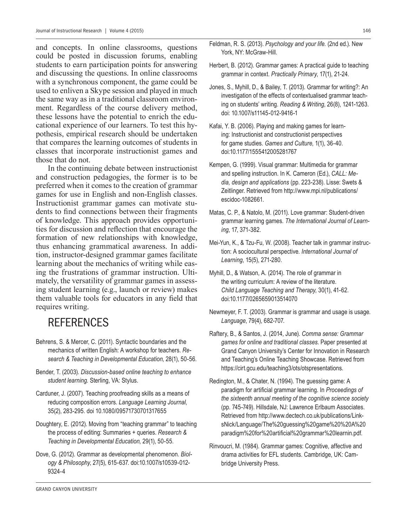and concepts. In online classrooms, questions could be posted in discussion forums, enabling students to earn participation points for answering and discussing the questions. In online classrooms with a synchronous component, the game could be used to enliven a Skype session and played in much the same way as in a traditional classroom environment. Regardless of the course delivery method, these lessons have the potential to enrich the educational experience of our learners. To test this hypothesis, empirical research should be undertaken that compares the learning outcomes of students in classes that incorporate instructionist games and those that do not.

In the continuing debate between instructionist and construction pedagogies, the former is to be preferred when it comes to the creation of grammar games for use in English and non-English classes. Instructionist grammar games can motivate students to find connections between their fragments of knowledge. This approach provides opportunities for discussion and reflection that encourage the formation of new relationships with knowledge, thus enhancing grammatical awareness. In addition, instructor-designed grammar games facilitate learning about the mechanics of writing while easing the frustrations of grammar instruction. Ultimately, the versatility of grammar games in assessing student learning (e.g., launch or review) makes them valuable tools for educators in any field that requires writing.

# REFERENCES

- Behrens, S. & Mercer, C. (2011). Syntactic boundaries and the mechanics of written English: A workshop for teachers. *Research & Teaching in Developmental Education*, 28(1), 50-56.
- Bender, T. (2003). *Discussion-based online teaching to enhance student learning.* Sterling, VA: Stylus.
- Carduner, J. (2007). Teaching proofreading skills as a means of reducing composition errors. *Language Learning Journal*, 35(2), 283-295. doi 10.1080/09571730701317655
- Doughtery, E. (2012). Moving from "teaching grammar" to teaching the process of editing: Summaries + queries. *Research & Teaching in Developmental Education*, 29(1), 50-55.
- Dove, G. (2012). Grammar as developmental phenomenon. *Biology & Philosophy*, 27(5), 615-637. doi:10.1007/s10539-012- 9324-4
- Feldman, R. S. (2013). *Psychology and your life.* (2nd ed.). New York, NY: McGraw-Hill.
- Herbert, B. (2012). Grammar games: A practical guide to teaching grammar in context. *Practically Primary*, 17(1), 21-24.
- Jones, S., Myhill, D., & Bailey, T. (2013). Grammar for writing?: An investigation of the effects of contextualised grammar teaching on students' writing. *Reading & Writing*, 26(8), 1241-1263. doi: 10.1007/s11145-012-9416-1
- Kafai, Y. B. (2006). Playing and making games for learning: Instructionist and constructionist perspectives for game studies. *Games and Culture*, 1(1), 36-40. doi:10.1177/1555412005281767
- Kempen, G. (1999). Visual grammar: Multimedia for grammar and spelling instruction. In K. Cameron (Ed.), *CALL: Media, design and applications* (pp. 223-238). Lisse: Swets & Zeitlinger. Retrieved from http://www.mpi.nl/publications/ escidoc-1082661.
- Matas, C. P., & Natolo, M. (2011). Love grammar: Student-driven grammar learning games. *The International Journal of Learning*, 17, 371-382.
- Mei-Yun, K., & Tzu-Fu, W. (2008). Teacher talk in grammar instruction: A sociocultural perspective. *International Journal of Learning*, 15(5), 271-280.
- Myhill, D., & Watson, A. (2014). The role of grammar in the writing curriculum: A review of the literature. *Child Language Teaching and Therapy*, 30(1), 41-62. doi:10.1177/0265659013514070
- Newmeyer, F. T. (2003). Grammar is grammar and usage is usage. *Language*, 79(4), 682-707.
- Raftery, B., & Santos, J. (2014, June). *Comma sense: Grammar games for online and traditional classes*. Paper presented at Grand Canyon University's Center for Innovation in Research and Teaching's Online Teaching Showcase. Retrieved from https://cirt.gcu.edu/teaching3/ots/otspresentations.
- Redington, M., & Chater, N. (1994). The guessing game: A paradigm for artificial grammar learning. In Proceedings of *the sixteenth annual meeting of the cognitive science society* (pp. 745-749). Hillsdale, NJ: Lawrence Erlbaum Associates. Retrieved from http://www.dectech.co.uk/publications/LinksNick/Language/The%20guessing%20game%20%20A%20 paradigm%20for%20artificial%20grammar%20learnin.pdf.
- Rinvoucri, M. (1984). Grammar games: Cognitive, affective and drama activities for EFL students. Cambridge, UK: Cambridge University Press.